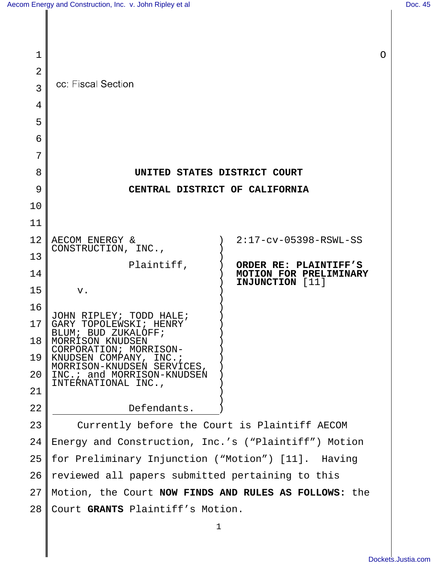| 1              |                                                       |                                                  | $\circ$ |
|----------------|-------------------------------------------------------|--------------------------------------------------|---------|
| $\overline{2}$ |                                                       |                                                  |         |
| 3              | cc: Fiscal Section                                    |                                                  |         |
| 4              |                                                       |                                                  |         |
| 5              |                                                       |                                                  |         |
| 6              |                                                       |                                                  |         |
| 7              |                                                       |                                                  |         |
| 8              | UNITED STATES DISTRICT COURT                          |                                                  |         |
| 9              | CENTRAL DISTRICT OF CALIFORNIA                        |                                                  |         |
| 10             |                                                       |                                                  |         |
| 11             |                                                       |                                                  |         |
| 12             | AECOM ENERGY &                                        | $2:17$ - $cv$ -05398-RSWL-SS                     |         |
| 13             | CONSTRUCTION, INC.,<br>Plaintiff,                     | ORDER RE: PLAINTIFF'S                            |         |
| 14             |                                                       | <b>MOTION FOR PRELIMINARY</b><br>INJUNCTION [11] |         |
| 15             | ${\bf v}$ .                                           |                                                  |         |
| 16             | JOHN RIPLEY;<br>TODD HALE;                            |                                                  |         |
| 17             | GARY<br>TOPOLEWSKI; HENRY<br>BUD ZUKALOFF;<br>BIJIM;  |                                                  |         |
| 18             | MORRISON KNUDSEN<br>CORPORATION; MORRISON-            |                                                  |         |
| 19             | KNUDSEN COMPANY, INC.;<br>MORRISON-KNUDSEN SERVICES,  |                                                  |         |
| 20             | INC.: and MORRISON-KNUDSEN<br>INTERNATIONAL INC.,     |                                                  |         |
| 21             |                                                       |                                                  |         |
| 22             | Defendants.                                           |                                                  |         |
| 23             | Currently before the Court is Plaintiff AECOM         |                                                  |         |
| 24             | Energy and Construction, Inc.'s ("Plaintiff") Motion  |                                                  |         |
| 25             | for Preliminary Injunction ("Motion") [11]. Having    |                                                  |         |
| 26             | reviewed all papers submitted pertaining to this      |                                                  |         |
| 27             | Motion, the Court NOW FINDS AND RULES AS FOLLOWS: the |                                                  |         |
| 28             | Court GRANTS Plaintiff's Motion.                      |                                                  |         |
|                | 1                                                     |                                                  |         |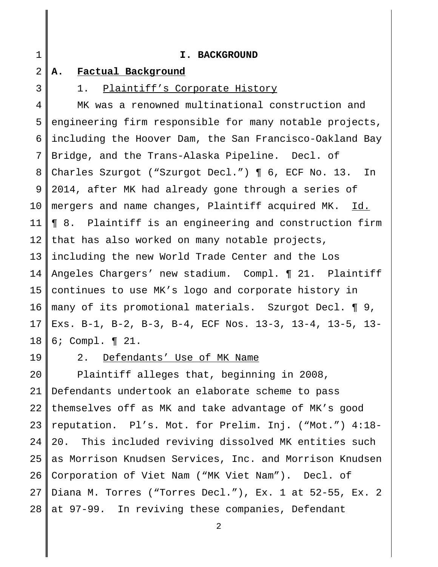| $\mathbf 1$     | I. BACKGROUND                                           |
|-----------------|---------------------------------------------------------|
| 2               | Factual Background<br>Α.                                |
| 3               | 1. Plaintiff's Corporate History                        |
| 4               | MK was a renowned multinational construction and        |
| 5               | engineering firm responsible for many notable projects, |
| 6               | including the Hoover Dam, the San Francisco-Oakland Bay |
| 7               | Bridge, and the Trans-Alaska Pipeline. Decl. of         |
| 8               | Charles Szurgot ("Szurgot Decl.")   6, ECF No. 13. In   |
| 9               | 2014, after MK had already gone through a series of     |
| $10 \,$         | mergers and name changes, Plaintiff acquired MK. Id.    |
| 11              | 18. Plaintiff is an engineering and construction firm   |
| 12              | that has also worked on many notable projects,          |
| 13 <sup>7</sup> | including the new World Trade Center and the Los        |
| 14              | Angeles Chargers' new stadium. Compl. 1 21. Plaintiff   |
| 15              | continues to use MK's logo and corporate history in     |
| 16              | many of its promotional materials. Szurgot Decl. ¶ 9,   |
| 17              | Exs. B-1, B-2, B-3, B-4, ECF Nos. 13-3, 13-4, 13-5, 13- |
| 18              | 6; Compl. $\P$ 21.                                      |

19

# 2. Defendants' Use of MK Name

20 21 22 23 24 25 26 27 28 Plaintiff alleges that, beginning in 2008, Defendants undertook an elaborate scheme to pass themselves off as MK and take advantage of MK's good reputation. Pl's. Mot. for Prelim. Inj. ("Mot.") 4:18- 20. This included reviving dissolved MK entities such as Morrison Knudsen Services, Inc. and Morrison Knudsen Corporation of Viet Nam ("MK Viet Nam"). Decl. of Diana M. Torres ("Torres Decl."), Ex. 1 at 52-55, Ex. 2 at 97-99. In reviving these companies, Defendant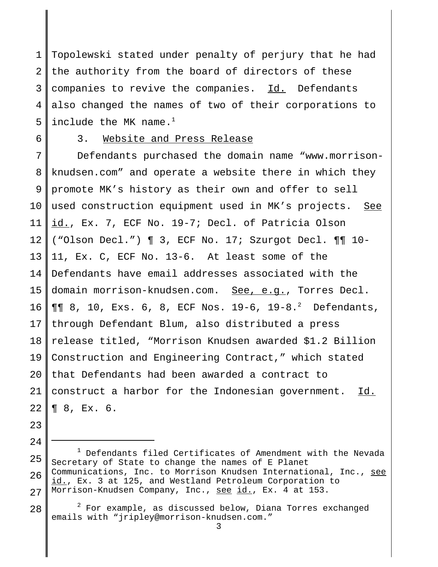1 2 3 4 5 Topolewski stated under penalty of perjury that he had the authority from the board of directors of these companies to revive the companies. Id. Defendants also changed the names of two of their corporations to include the MK name. $<sup>1</sup>$ </sup>

6

# 3. Website and Press Release

7 8 9 10 11 12 13 14 15 16 17 18 19 20 21 22 Defendants purchased the domain name "www.morrisonknudsen.com" and operate a website there in which they promote MK's history as their own and offer to sell used construction equipment used in MK's projects. See id., Ex. 7, ECF No. 19-7; Decl. of Patricia Olson ("Olson Decl.") ¶ 3, ECF No. 17; Szurgot Decl. ¶¶ 10- 11, Ex. C, ECF No. 13-6. At least some of the Defendants have email addresses associated with the domain morrison-knudsen.com. See, e.g., Torres Decl. ¶¶ 8, 10, Exs. 6, 8, ECF Nos. 19-6, 19-8.<sup>2</sup> Defendants, through Defendant Blum, also distributed a press release titled, "Morrison Knudsen awarded \$1.2 Billion Construction and Engineering Contract," which stated that Defendants had been awarded a contract to construct a harbor for the Indonesian government. Id. ¶ 8, Ex. 6.

- 23
- 24

28  $2$  For example, as discussed below, Diana Torres exchanged emails with "jripley@morrison-knudsen.com."

<sup>25</sup> 26 27  $1$  Defendants filed Certificates of Amendment with the Nevada Secretary of State to change the names of E Planet Communications, Inc. to Morrison Knudsen International, Inc., see id., Ex. 3 at 125, and Westland Petroleum Corporation to Morrison-Knudsen Company, Inc., see id., Ex. 4 at 153.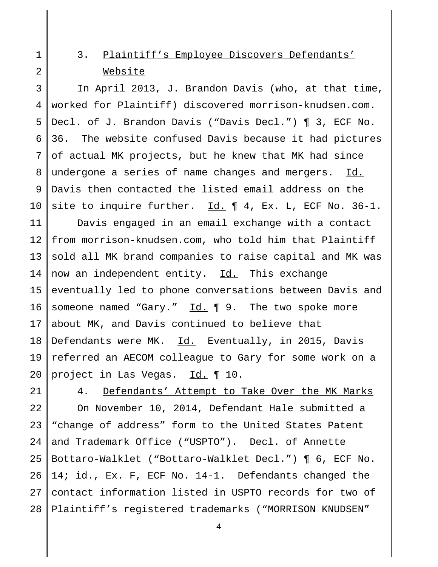# 3. Plaintiff's Employee Discovers Defendants' Website

3 4 5 6 7 8 9 10 11 12 In April 2013, J. Brandon Davis (who, at that time, worked for Plaintiff) discovered morrison-knudsen.com. Decl. of J. Brandon Davis ("Davis Decl.") ¶ 3, ECF No. 36. The website confused Davis because it had pictures of actual MK projects, but he knew that MK had since undergone a series of name changes and mergers. Id. Davis then contacted the listed email address on the site to inquire further.  $\underline{Id.} \P 4$ , Ex. L, ECF No. 36-1. Davis engaged in an email exchange with a contact from morrison-knudsen.com, who told him that Plaintiff

13 14 15 16 17 18 19 20 sold all MK brand companies to raise capital and MK was now an independent entity. Id. This exchange eventually led to phone conversations between Davis and someone named "Gary." Id. ¶ 9. The two spoke more about MK, and Davis continued to believe that Defendants were MK. Id. Eventually, in 2015, Davis referred an AECOM colleague to Gary for some work on a project in Las Vegas. Id. 10.

21

1

2

22 23 24 25 26 27 28 4. Defendants' Attempt to Take Over the MK Marks On November 10, 2014, Defendant Hale submitted a "change of address" form to the United States Patent and Trademark Office ("USPTO"). Decl. of Annette Bottaro-Walklet ("Bottaro-Walklet Decl.") ¶ 6, ECF No. 14; id., Ex. F, ECF No. 14-1. Defendants changed the contact information listed in USPTO records for two of Plaintiff's registered trademarks ("MORRISON KNUDSEN"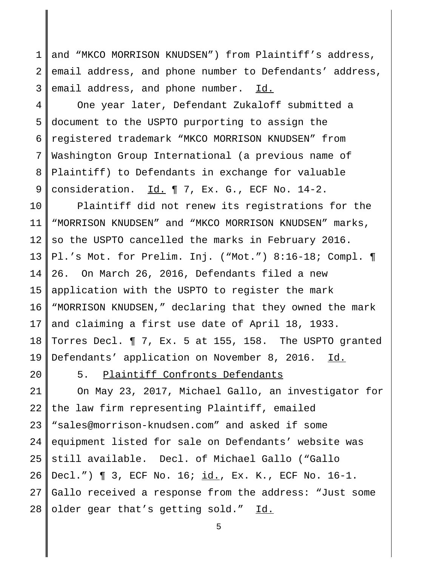1 2 3 and "MKCO MORRISON KNUDSEN") from Plaintiff's address, email address, and phone number to Defendants' address, email address, and phone number. Id.

4 5 6 7 8 9 One year later, Defendant Zukaloff submitted a document to the USPTO purporting to assign the registered trademark "MKCO MORRISON KNUDSEN" from Washington Group International (a previous name of Plaintiff) to Defendants in exchange for valuable consideration.  $\underline{Id.} \P 7$ , Ex. G., ECF No. 14-2.

10 11 12 13 14 15 16 17 18 19 Plaintiff did not renew its registrations for the "MORRISON KNUDSEN" and "MKCO MORRISON KNUDSEN" marks, so the USPTO cancelled the marks in February 2016. Pl.'s Mot. for Prelim. Inj. ("Mot.") 8:16-18; Compl. ¶ 26. On March 26, 2016, Defendants filed a new application with the USPTO to register the mark "MORRISON KNUDSEN," declaring that they owned the mark and claiming a first use date of April 18, 1933. Torres Decl. ¶ 7, Ex. 5 at 155, 158. The USPTO granted Defendants' application on November 8, 2016. Id.

20

5. Plaintiff Confronts Defendants

21 22 23 24 25 26 27 28 On May 23, 2017, Michael Gallo, an investigator for the law firm representing Plaintiff, emailed "sales@morrison-knudsen.com" and asked if some equipment listed for sale on Defendants' website was still available. Decl. of Michael Gallo ("Gallo Decl.") ¶ 3, ECF No. 16; id., Ex. K., ECF No. 16-1. Gallo received a response from the address: "Just some older gear that's getting sold." Id.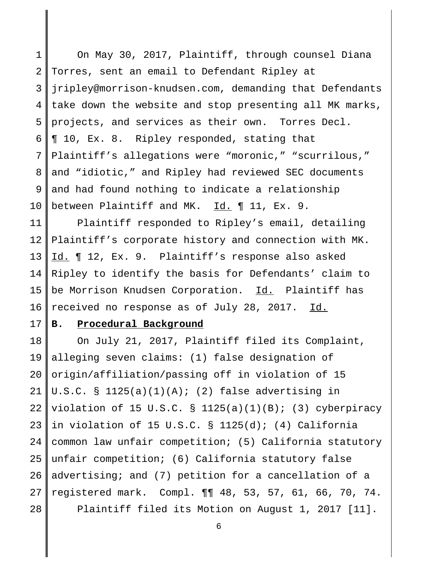1 2 3 4 5 6 7 8 9 10 On May 30, 2017, Plaintiff, through counsel Diana Torres, sent an email to Defendant Ripley at jripley@morrison-knudsen.com, demanding that Defendants take down the website and stop presenting all MK marks, projects, and services as their own. Torres Decl. ¶ 10, Ex. 8. Ripley responded, stating that Plaintiff's allegations were "moronic," "scurrilous," and "idiotic," and Ripley had reviewed SEC documents and had found nothing to indicate a relationship between Plaintiff and MK. Id. ¶ 11, Ex. 9.

11 12 13 14 15 16 Plaintiff responded to Ripley's email, detailing Plaintiff's corporate history and connection with MK. Id. 12, Ex. 9. Plaintiff's response also asked Ripley to identify the basis for Defendants' claim to be Morrison Knudsen Corporation. Id. Plaintiff has received no response as of July 28, 2017. Id.

#### 17 **B. Procedural Background**

18 19 20 21 22 23 24 25 26 27 28 On July 21, 2017, Plaintiff filed its Complaint, alleging seven claims: (1) false designation of origin/affiliation/passing off in violation of 15 U.S.C. §  $1125(a)(1)(A)$ ; (2) false advertising in violation of 15 U.S.C. § 1125(a)(1)(B); (3) cyberpiracy in violation of 15 U.S.C. § 1125(d); (4) California common law unfair competition; (5) California statutory unfair competition; (6) California statutory false advertising; and (7) petition for a cancellation of a registered mark. Compl. ¶¶ 48, 53, 57, 61, 66, 70, 74. Plaintiff filed its Motion on August 1, 2017 [11].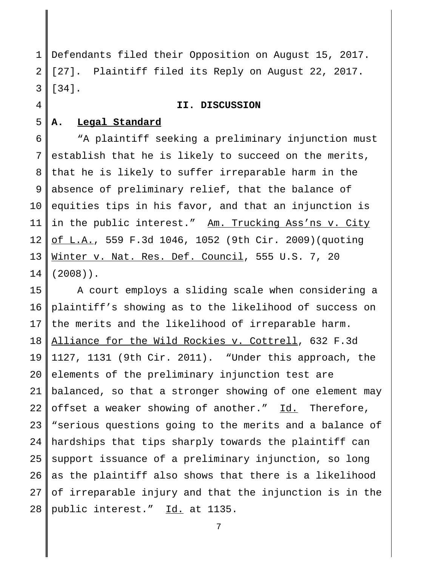1 2 3 Defendants filed their Opposition on August 15, 2017. [27]. Plaintiff filed its Reply on August 22, 2017. [34].

### **II. DISCUSSION**

#### 5 **A. Legal Standard**

4

6 7 8 9 10 11 12 13 14 "A plaintiff seeking a preliminary injunction must establish that he is likely to succeed on the merits, that he is likely to suffer irreparable harm in the absence of preliminary relief, that the balance of equities tips in his favor, and that an injunction is in the public interest." Am. Trucking Ass'ns v. City of L.A., 559 F.3d 1046, 1052 (9th Cir. 2009)(quoting Winter v. Nat. Res. Def. Council, 555 U.S. 7, 20 (2008)).

15 16 17 18 19 20 21 22 23 24 25 26 27 28 A court employs a sliding scale when considering a plaintiff's showing as to the likelihood of success on the merits and the likelihood of irreparable harm. Alliance for the Wild Rockies v. Cottrell, 632 F.3d 1127, 1131 (9th Cir. 2011). "Under this approach, the elements of the preliminary injunction test are balanced, so that a stronger showing of one element may offset a weaker showing of another." Id. Therefore, "serious questions going to the merits and a balance of hardships that tips sharply towards the plaintiff can support issuance of a preliminary injunction, so long as the plaintiff also shows that there is a likelihood of irreparable injury and that the injunction is in the public interest." Id. at 1135.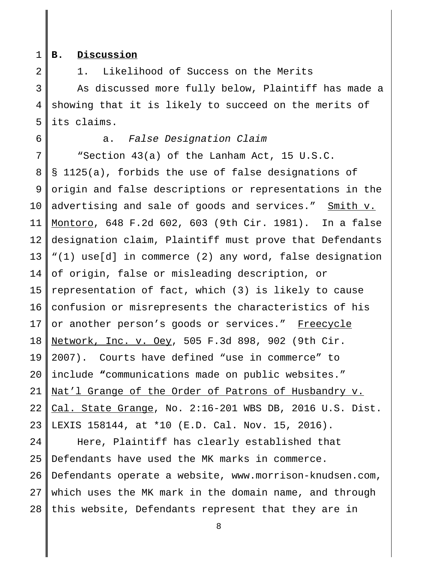1

2

### **B. Discussion**

1. Likelihood of Success on the Merits

3 4 5 As discussed more fully below, Plaintiff has made a showing that it is likely to succeed on the merits of its claims.

6

a. False Designation Claim

7 8 9 10 11 12 13 14 15 16 17 18 19 20 21 22 23 "Section 43(a) of the Lanham Act, 15 U.S.C. § 1125(a), forbids the use of false designations of origin and false descriptions or representations in the advertising and sale of goods and services." Smith v. Montoro, 648 F.2d 602, 603 (9th Cir. 1981).In a false designation claim, Plaintiff must prove that Defendants "(1) use[d] in commerce (2) any word, false designation of origin, false or misleading description, or representation of fact, which (3) is likely to cause confusion or misrepresents the characteristics of his or another person's goods or services." Freecycle Network, Inc. v. Oey, 505 F.3d 898, 902 (9th Cir. 2007). Courts have defined "use in commerce" to include **"**communications made on public websites." Nat'l Grange of the Order of Patrons of Husbandry v. Cal. State Grange, No. 2:16-201 WBS DB, 2016 U.S. Dist. LEXIS 158144, at \*10 (E.D. Cal. Nov. 15, 2016).

24 25 26 27 28 Here, Plaintiff has clearly established that Defendants have used the MK marks in commerce. Defendants operate a website, www.morrison-knudsen.com, which uses the MK mark in the domain name, and through this website, Defendants represent that they are in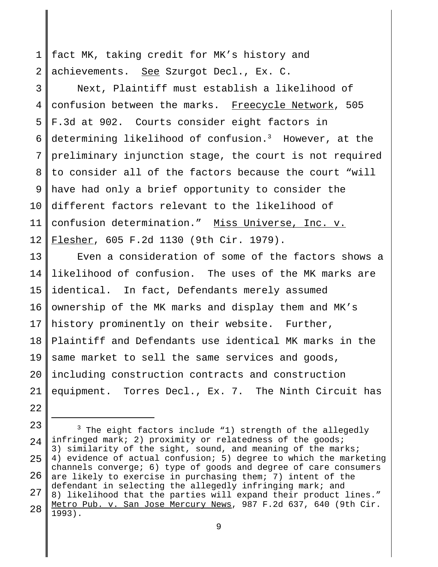1 2 fact MK, taking credit for MK's history and achievements. See Szurgot Decl., Ex. C.

3 4 5 6 7 8 9 10 11 12 Next, Plaintiff must establish a likelihood of confusion between the marks. Freecycle Network, 505 F.3d at 902. Courts consider eight factors in determining likelihood of confusion.<sup>3</sup> However, at the preliminary injunction stage, the court is not required to consider all of the factors because the court "will have had only a brief opportunity to consider the different factors relevant to the likelihood of confusion determination." Miss Universe, Inc. v. Flesher, 605 F.2d 1130 (9th Cir. 1979).

13 14 15 16 17 18 19 20 21 Even a consideration of some of the factors shows a likelihood of confusion. The uses of the MK marks are identical. In fact, Defendants merely assumed ownership of the MK marks and display them and MK's history prominently on their website. Further, Plaintiff and Defendants use identical MK marks in the same market to sell the same services and goods, including construction contracts and construction equipment. Torres Decl., Ex. 7. The Ninth Circuit has

22

23 24 25 26 27 28  $3$  The eight factors include "1) strength of the allegedly infringed mark; 2) proximity or relatedness of the goods; 3) similarity of the sight, sound, and meaning of the marks; 4) evidence of actual confusion; 5) degree to which the marketing channels converge; 6) type of goods and degree of care consumers are likely to exercise in purchasing them; 7) intent of the defendant in selecting the allegedly infringing mark; and 8) likelihood that the parties will expand their product lines." Metro Pub. v. San Jose Mercury News, 987 F.2d 637, 640 (9th Cir. 1993).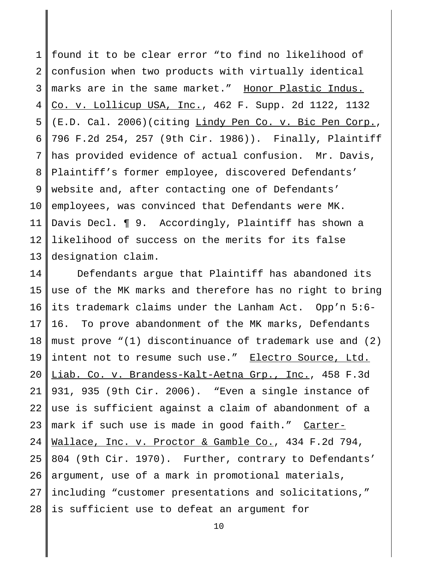1 2 3 4 5 6 7 8 9 10 11 12 13 found it to be clear error "to find no likelihood of confusion when two products with virtually identical marks are in the same market." Honor Plastic Indus. Co. v. Lollicup USA, Inc., 462 F. Supp. 2d 1122, 1132 (E.D. Cal. 2006)(citing Lindy Pen Co. v. Bic Pen Corp., 796 F.2d 254, 257 (9th Cir. 1986)). Finally, Plaintiff has provided evidence of actual confusion. Mr. Davis, Plaintiff's former employee, discovered Defendants' website and, after contacting one of Defendants' employees, was convinced that Defendants were MK. Davis Decl. ¶ 9. Accordingly, Plaintiff has shown a likelihood of success on the merits for its false designation claim.

14 15 16 17 18 19 20 21 22 23 24 25 26 27 28 Defendants argue that Plaintiff has abandoned its use of the MK marks and therefore has no right to bring its trademark claims under the Lanham Act. Opp'n 5:6- 16. To prove abandonment of the MK marks, Defendants must prove "(1) discontinuance of trademark use and (2) intent not to resume such use." Electro Source, Ltd. Liab. Co. v. Brandess-Kalt-Aetna Grp., Inc., 458 F.3d 931, 935 (9th Cir. 2006). "Even a single instance of use is sufficient against a claim of abandonment of a mark if such use is made in good faith." Carter-Wallace, Inc. v. Proctor & Gamble Co., 434 F.2d 794, 804 (9th Cir. 1970). Further, contrary to Defendants' argument, use of a mark in promotional materials, including "customer presentations and solicitations," is sufficient use to defeat an argument for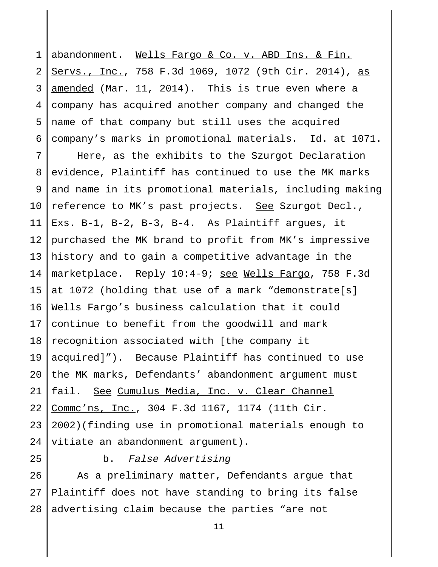1 2 3 4 5 6 abandonment. Wells Fargo & Co. v. ABD Ins. & Fin. Servs., Inc., 758 F.3d 1069, 1072 (9th Cir. 2014), as amended (Mar. 11, 2014). This is true even where a company has acquired another company and changed the name of that company but still uses the acquired company's marks in promotional materials. Id. at 1071.

7 8 9 10 11 12 13 14 15 16 17 18 19 20 21 22 23 24 Here, as the exhibits to the Szurgot Declaration evidence, Plaintiff has continued to use the MK marks and name in its promotional materials, including making reference to MK's past projects. See Szurgot Decl., Exs. B-1, B-2, B-3, B-4. As Plaintiff argues, it purchased the MK brand to profit from MK's impressive history and to gain a competitive advantage in the marketplace. Reply 10:4-9; see Wells Fargo, 758 F.3d at 1072 (holding that use of a mark "demonstrate[s] Wells Fargo's business calculation that it could continue to benefit from the goodwill and mark recognition associated with [the company it acquired]"). Because Plaintiff has continued to use the MK marks, Defendants' abandonment argument must fail. See Cumulus Media, Inc. v. Clear Channel Commc'ns, Inc., 304 F.3d 1167, 1174 (11th Cir. 2002)(finding use in promotional materials enough to vitiate an abandonment argument).

25

b. False Advertising

26 27 28 As a preliminary matter, Defendants argue that Plaintiff does not have standing to bring its false advertising claim because the parties "are not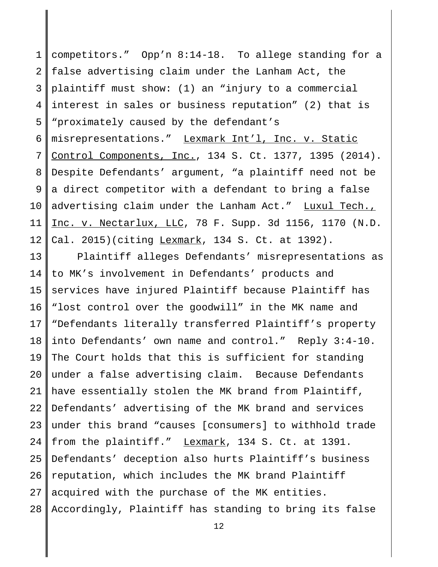1 2 3 4 5 6 7 8 9 10 11 12 competitors." Opp'n 8:14-18. To allege standing for a false advertising claim under the Lanham Act, the plaintiff must show: (1) an "injury to a commercial interest in sales or business reputation" (2) that is "proximately caused by the defendant's misrepresentations." Lexmark Int'l, Inc. v. Static Control Components, Inc., 134 S. Ct. 1377, 1395 (2014). Despite Defendants' argument, "a plaintiff need not be a direct competitor with a defendant to bring a false advertising claim under the Lanham Act." Luxul Tech., Inc. v. Nectarlux, LLC, 78 F. Supp. 3d 1156, 1170 (N.D. Cal. 2015)(citing Lexmark, 134 S. Ct. at 1392).

13 14 15 16 17 18 19 20 21 22 23 24 25 26 27 28 Plaintiff alleges Defendants' misrepresentations as to MK's involvement in Defendants' products and services have injured Plaintiff because Plaintiff has "lost control over the goodwill" in the MK name and "Defendants literally transferred Plaintiff's property into Defendants' own name and control." Reply 3:4-10. The Court holds that this is sufficient for standing under a false advertising claim. Because Defendants have essentially stolen the MK brand from Plaintiff, Defendants' advertising of the MK brand and services under this brand "causes [consumers] to withhold trade from the plaintiff." Lexmark, 134 S. Ct. at 1391. Defendants' deception also hurts Plaintiff's business reputation, which includes the MK brand Plaintiff acquired with the purchase of the MK entities. Accordingly, Plaintiff has standing to bring its false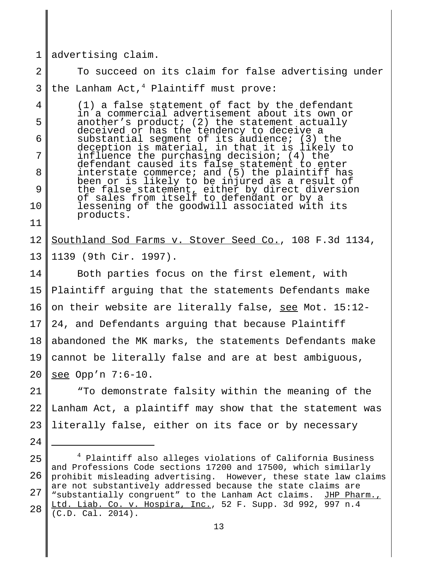1 advertising claim.

24

2 3 To succeed on its claim for false advertising under the Lanham Act, $4$  Plaintiff must prove:

4 5 6 7 8 9 10 11 (1) a false statement of fact by the defendant in a commercial advertisement about its own or another's product; (2) the statement actually deceived or has the tendency to deceive a substantial segment of its audience; (3) the deception is material, in that it is likely to influence the purchasing decision; (4) the defendant caused its false statement to enter interstate commerce; and (5) the plaintiff has been or is likely to be injured as a result of the false statement, either by direct diversion of sales from itself to defendant or by a lessening of the goodwill associated with its products.

#### 12 13 Southland Sod Farms v. Stover Seed Co., 108 F.3d 1134, 1139 (9th Cir. 1997).

14 15 16 17 18 19 20 Both parties focus on the first element, with Plaintiff arguing that the statements Defendants make on their website are literally false, see Mot. 15:12- 24, and Defendants arguing that because Plaintiff abandoned the MK marks, the statements Defendants make cannot be literally false and are at best ambiguous, see Opp'n 7:6-10.

21 22 23 "To demonstrate falsity within the meaning of the Lanham Act, a plaintiff may show that the statement was literally false, either on its face or by necessary

<sup>25</sup> 26 27 28 <sup>4</sup> Plaintiff also alleges violations of California Business and Professions Code sections 17200 and 17500, which similarly prohibit misleading advertising. However, these state law claims are not substantively addressed because the state claims are "substantially congruent" to the Lanham Act claims. JHP Pharm., Ltd. Liab. Co. v. Hospira, Inc., 52 F. Supp. 3d 992, 997 n.4 (C.D. Cal. 2014).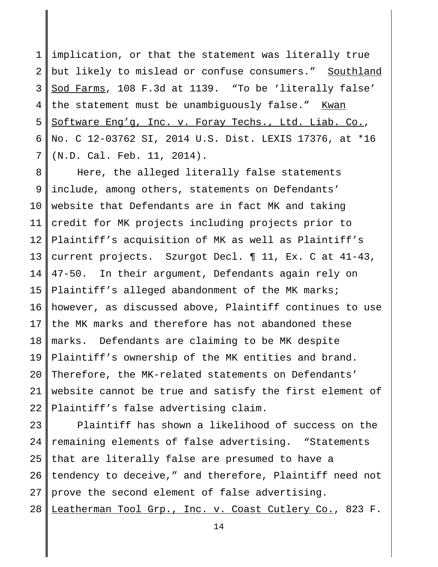1 2 3 4 5 6 7 implication, or that the statement was literally true but likely to mislead or confuse consumers." Southland Sod Farms, 108 F.3d at 1139. "To be 'literally false' the statement must be unambiguously false." Kwan Software Eng'g, Inc. v. Foray Techs., Ltd. Liab. Co., No. C 12-03762 SI, 2014 U.S. Dist. LEXIS 17376, at \*16 (N.D. Cal. Feb. 11, 2014).

8 9 10 11 12 13 14 15 16 17 18 19 20 21  $2.2<sub>2</sub>$ Here, the alleged literally false statements include, among others, statements on Defendants' website that Defendants are in fact MK and taking credit for MK projects including projects prior to Plaintiff's acquisition of MK as well as Plaintiff's current projects. Szurgot Decl. ¶ 11, Ex. C at 41-43, 47-50. In their argument, Defendants again rely on Plaintiff's alleged abandonment of the MK marks; however, as discussed above, Plaintiff continues to use the MK marks and therefore has not abandoned these marks. Defendants are claiming to be MK despite Plaintiff's ownership of the MK entities and brand. Therefore, the MK-related statements on Defendants' website cannot be true and satisfy the first element of Plaintiff's false advertising claim.

23  $2.4$ 25 26 27 28 Plaintiff has shown a likelihood of success on the remaining elements of false advertising. "Statements that are literally false are presumed to have a tendency to deceive," and therefore, Plaintiff need not prove the second element of false advertising. Leatherman Tool Grp., Inc. v. Coast Cutlery Co., 823 F.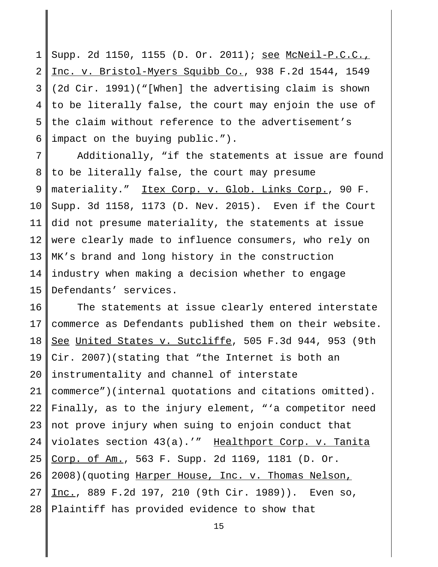1 2 3 4 5 6 Supp. 2d 1150, 1155 (D. Or. 2011); see McNeil-P.C.C., Inc. v. Bristol-Myers Squibb Co., 938 F.2d 1544, 1549 (2d Cir. 1991)("[When] the advertising claim is shown to be literally false, the court may enjoin the use of the claim without reference to the advertisement's impact on the buying public.").

7 8 9 10 11 12 13 14 15 Additionally, "if the statements at issue are found to be literally false, the court may presume materiality." Itex Corp. v. Glob. Links Corp., 90 F. Supp. 3d 1158, 1173 (D. Nev. 2015). Even if the Court did not presume materiality, the statements at issue were clearly made to influence consumers, who rely on MK's brand and long history in the construction industry when making a decision whether to engage Defendants' services.

16 17 18 19 20 21 22 23 24 25 26 27 28 The statements at issue clearly entered interstate commerce as Defendants published them on their website. See United States v. Sutcliffe, 505 F.3d 944, 953 (9th Cir. 2007)(stating that "the Internet is both an instrumentality and channel of interstate commerce")(internal quotations and citations omitted). Finally, as to the injury element, "'a competitor need not prove injury when suing to enjoin conduct that violates section 43(a).'" Healthport Corp. v. Tanita Corp. of Am., 563 F. Supp. 2d 1169, 1181 (D. Or. 2008)(quoting Harper House, Inc. v. Thomas Nelson, Inc., 889 F.2d 197, 210 (9th Cir. 1989)). Even so, Plaintiff has provided evidence to show that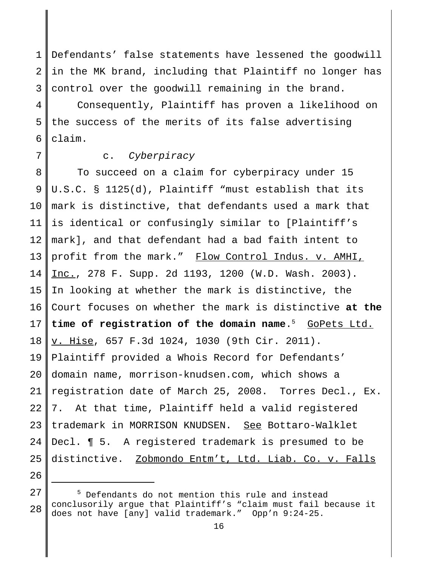1 2 3 Defendants' false statements have lessened the goodwill in the MK brand, including that Plaintiff no longer has control over the goodwill remaining in the brand.

4 5 6 Consequently, Plaintiff has proven a likelihood on the success of the merits of its false advertising claim.

7

## c. Cyberpiracy

8 9 10 11 12 13 14 15 16 17 18 19 20 21 22 23 24 25 To succeed on a claim for cyberpiracy under 15 U.S.C. § 1125(d), Plaintiff "must establish that its mark is distinctive, that defendants used a mark that is identical or confusingly similar to [Plaintiff's mark], and that defendant had a bad faith intent to profit from the mark." Flow Control Indus. v. AMHI, Inc., 278 F. Supp. 2d 1193, 1200 (W.D. Wash. 2003). In looking at whether the mark is distinctive, the Court focuses on whether the mark is distinctive **at the time of registration of the domain name**. <sup>5</sup> GoPets Ltd. v. Hise, 657 F.3d 1024, 1030 (9th Cir. 2011). Plaintiff provided a Whois Record for Defendants' domain name, morrison-knudsen.com, which shows a registration date of March 25, 2008. Torres Decl., Ex. 7. At that time, Plaintiff held a valid registered trademark in MORRISON KNUDSEN. See Bottaro-Walklet Decl. ¶ 5. A registered trademark is presumed to be distinctive. Zobmondo Entm't, Ltd. Liab. Co. v. Falls

26 27

<sup>&</sup>lt;sup>5</sup> Defendants do not mention this rule and instead conclusorily argue that Plaintiff's "claim must fail because it does not have [any] valid trademark." Opp'n 9:24-25.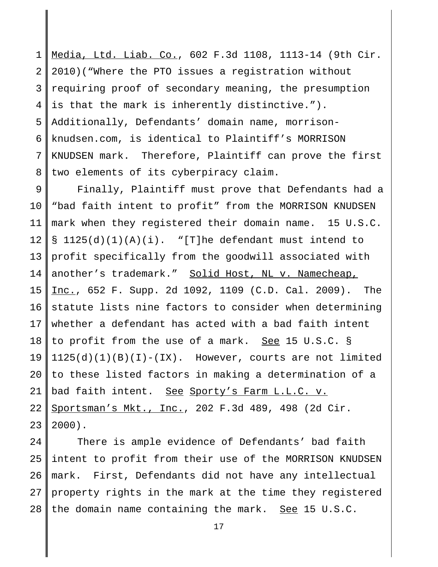1 2 3 4 5 6 7 8 Media, Ltd. Liab. Co., 602 F.3d 1108, 1113-14 (9th Cir. 2010)("Where the PTO issues a registration without requiring proof of secondary meaning, the presumption is that the mark is inherently distinctive."). Additionally, Defendants' domain name, morrisonknudsen.com, is identical to Plaintiff's MORRISON KNUDSEN mark. Therefore, Plaintiff can prove the first two elements of its cyberpiracy claim.

9 10 11 12 13 14 15 16 17 18 19 20 21 22 23 Finally, Plaintiff must prove that Defendants had a "bad faith intent to profit" from the MORRISON KNUDSEN mark when they registered their domain name. 15 U.S.C.  $\S$  1125(d)(1)(A)(i). "[T]he defendant must intend to profit specifically from the goodwill associated with another's trademark." Solid Host, NL v. Namecheap, Inc., 652 F. Supp. 2d 1092, 1109 (C.D. Cal. 2009). The statute lists nine factors to consider when determining whether a defendant has acted with a bad faith intent to profit from the use of a mark. See 15 U.S.C. §  $1125(d)(1)(B)(I) - (IX)$ . However, courts are not limited to these listed factors in making a determination of a bad faith intent. See Sporty's Farm L.L.C. v. Sportsman's Mkt., Inc., 202 F.3d 489, 498 (2d Cir. 2000).

24 25 26 27 28 There is ample evidence of Defendants' bad faith intent to profit from their use of the MORRISON KNUDSEN mark. First, Defendants did not have any intellectual property rights in the mark at the time they registered the domain name containing the mark. See 15 U.S.C.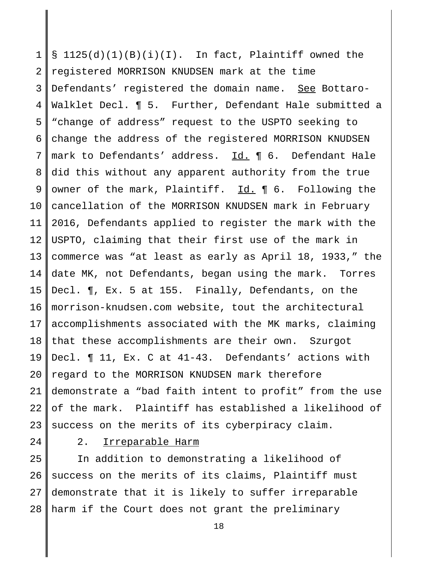1 2 3 4 5 6 7 8 9 10 11 12 13 14 15 16 17 18 19 20 21 22 23  $\S$  1125(d)(1)(B)(i)(I). In fact, Plaintiff owned the registered MORRISON KNUDSEN mark at the time Defendants' registered the domain name. See Bottaro-Walklet Decl. ¶ 5. Further, Defendant Hale submitted a "change of address" request to the USPTO seeking to change the address of the registered MORRISON KNUDSEN mark to Defendants' address. Id. ¶ 6. Defendant Hale did this without any apparent authority from the true owner of the mark, Plaintiff. Id. ¶ 6. Following the cancellation of the MORRISON KNUDSEN mark in February 2016, Defendants applied to register the mark with the USPTO, claiming that their first use of the mark in commerce was "at least as early as April 18, 1933," the date MK, not Defendants, began using the mark. Torres Decl. ¶, Ex. 5 at 155. Finally, Defendants, on the morrison-knudsen.com website, tout the architectural accomplishments associated with the MK marks, claiming that these accomplishments are their own. Szurgot Decl. ¶ 11, Ex. C at 41-43. Defendants' actions with regard to the MORRISON KNUDSEN mark therefore demonstrate a "bad faith intent to profit" from the use of the mark. Plaintiff has established a likelihood of success on the merits of its cyberpiracy claim.

24

2. Irreparable Harm

25 26 27 28 In addition to demonstrating a likelihood of success on the merits of its claims, Plaintiff must demonstrate that it is likely to suffer irreparable harm if the Court does not grant the preliminary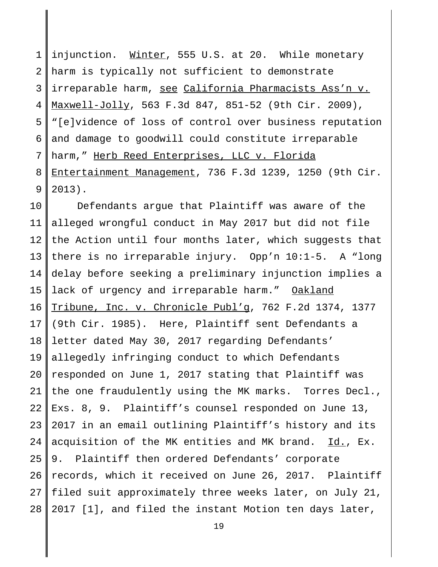1 2 3 4 5 6 7 8 9 injunction. Winter, 555 U.S. at 20. While monetary harm is typically not sufficient to demonstrate irreparable harm, see California Pharmacists Ass'n v. Maxwell-Jolly, 563 F.3d 847, 851-52 (9th Cir. 2009), "[e]vidence of loss of control over business reputation and damage to goodwill could constitute irreparable harm," Herb Reed Enterprises, LLC v. Florida Entertainment Management, 736 F.3d 1239, 1250 (9th Cir. 2013).

10 11 12 13 14 15 16 17 18 19 20 21 22 23 24 25 26 27 28 Defendants argue that Plaintiff was aware of the alleged wrongful conduct in May 2017 but did not file the Action until four months later, which suggests that there is no irreparable injury. Opp'n 10:1-5. A "long delay before seeking a preliminary injunction implies a lack of urgency and irreparable harm." Oakland Tribune, Inc. v. Chronicle Publ'g, 762 F.2d 1374, 1377 (9th Cir. 1985). Here, Plaintiff sent Defendants a letter dated May 30, 2017 regarding Defendants' allegedly infringing conduct to which Defendants responded on June 1, 2017 stating that Plaintiff was the one fraudulently using the MK marks. Torres Decl., Exs. 8, 9. Plaintiff's counsel responded on June 13, 2017 in an email outlining Plaintiff's history and its acquisition of the MK entities and MK brand. Id., Ex. 9. Plaintiff then ordered Defendants' corporate records, which it received on June 26, 2017. Plaintiff filed suit approximately three weeks later, on July 21, 2017 [1], and filed the instant Motion ten days later,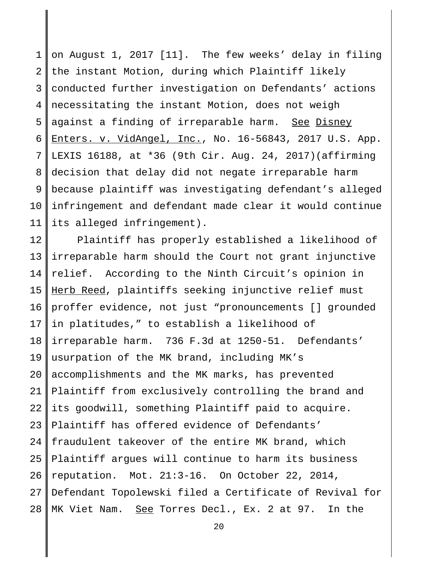1 2 3 4 5 6 7 8 9 10 11 on August 1, 2017 [11]. The few weeks' delay in filing the instant Motion, during which Plaintiff likely conducted further investigation on Defendants' actions necessitating the instant Motion, does not weigh against a finding of irreparable harm. See Disney Enters. v. VidAngel, Inc., No. 16-56843, 2017 U.S. App. LEXIS 16188, at \*36 (9th Cir. Aug. 24, 2017)(affirming decision that delay did not negate irreparable harm because plaintiff was investigating defendant's alleged infringement and defendant made clear it would continue its alleged infringement).

12 13 14 15 16 17 18 19 20 21 22 23 24 25 26 27 28 Plaintiff has properly established a likelihood of irreparable harm should the Court not grant injunctive relief. According to the Ninth Circuit's opinion in Herb Reed, plaintiffs seeking injunctive relief must proffer evidence, not just "pronouncements [] grounded in platitudes," to establish a likelihood of irreparable harm. 736 F.3d at 1250-51. Defendants' usurpation of the MK brand, including MK's accomplishments and the MK marks, has prevented Plaintiff from exclusively controlling the brand and its goodwill, something Plaintiff paid to acquire. Plaintiff has offered evidence of Defendants' fraudulent takeover of the entire MK brand, which Plaintiff argues will continue to harm its business reputation. Mot. 21:3-16. On October 22, 2014, Defendant Topolewski filed a Certificate of Revival for MK Viet Nam. See Torres Decl., Ex. 2 at 97. In the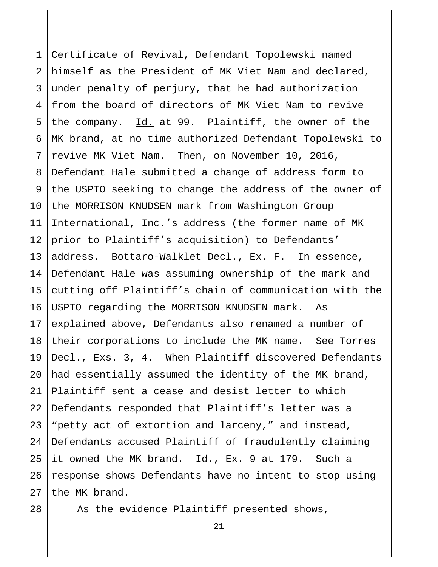1 2 3 4 5 6 7 8 9 10 11 12 13 14 15 16 17 18 19 20 21 22 23 24 25 26 27 Certificate of Revival, Defendant Topolewski named himself as the President of MK Viet Nam and declared, under penalty of perjury, that he had authorization from the board of directors of MK Viet Nam to revive the company.  $\underline{Id.}$  at 99. Plaintiff, the owner of the MK brand, at no time authorized Defendant Topolewski to revive MK Viet Nam. Then, on November 10, 2016, Defendant Hale submitted a change of address form to the USPTO seeking to change the address of the owner of the MORRISON KNUDSEN mark from Washington Group International, Inc.'s address (the former name of MK prior to Plaintiff's acquisition) to Defendants' address. Bottaro-Walklet Decl., Ex. F. In essence, Defendant Hale was assuming ownership of the mark and cutting off Plaintiff's chain of communication with the USPTO regarding the MORRISON KNUDSEN mark. As explained above, Defendants also renamed a number of their corporations to include the MK name. See Torres Decl., Exs. 3, 4. When Plaintiff discovered Defendants had essentially assumed the identity of the MK brand, Plaintiff sent a cease and desist letter to which Defendants responded that Plaintiff's letter was a "petty act of extortion and larceny," and instead, Defendants accused Plaintiff of fraudulently claiming it owned the MK brand. Id., Ex. 9 at 179. Such a response shows Defendants have no intent to stop using the MK brand.

28

As the evidence Plaintiff presented shows,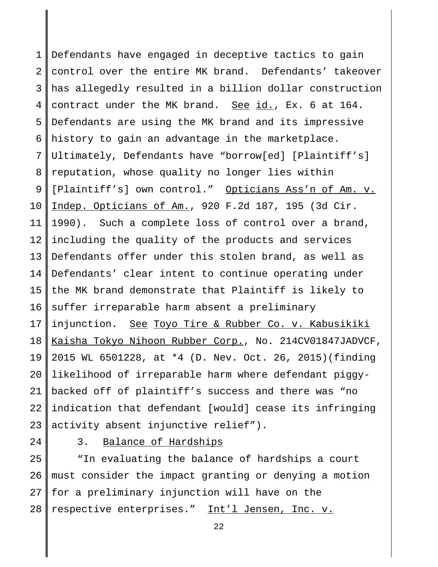1 2 3 4 5 6 7 8 9 10 11 12 13 14 15 16 17 18 19 20 21 22 23 Defendants have engaged in deceptive tactics to gain control over the entire MK brand. Defendants' takeover has allegedly resulted in a billion dollar construction contract under the MK brand. See id., Ex. 6 at 164. Defendants are using the MK brand and its impressive history to gain an advantage in the marketplace. Ultimately, Defendants have "borrow[ed] [Plaintiff's] reputation, whose quality no longer lies within [Plaintiff's] own control." Opticians Ass'n of Am. v. Indep. Opticians of Am., 920 F.2d 187, 195 (3d Cir. 1990). Such a complete loss of control over a brand, including the quality of the products and services Defendants offer under this stolen brand, as well as Defendants' clear intent to continue operating under the MK brand demonstrate that Plaintiff is likely to suffer irreparable harm absent a preliminary injunction. See Toyo Tire & Rubber Co. v. Kabusikiki Kaisha Tokyo Nihoon Rubber Corp., No. 214CV01847JADVCF, 2015 WL 6501228, at \*4 (D. Nev. Oct. 26, 2015)(finding likelihood of irreparable harm where defendant piggybacked off of plaintiff's success and there was "no indication that defendant [would] cease its infringing activity absent injunctive relief").

24

3. Balance of Hardships

25 26 27 28 "In evaluating the balance of hardships a court must consider the impact granting or denying a motion for a preliminary injunction will have on the respective enterprises." Int'l Jensen, Inc. v.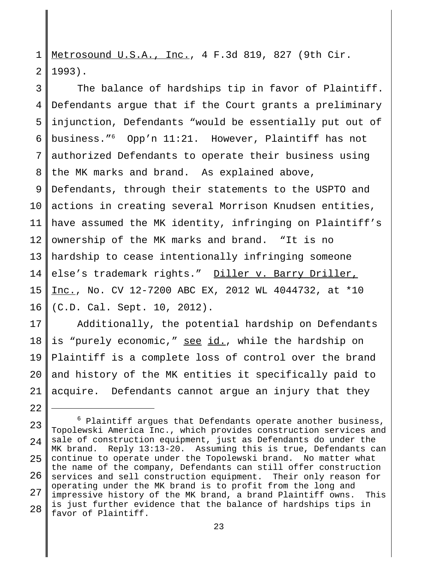1 2 Metrosound U.S.A., Inc., 4 F.3d 819, 827 (9th Cir. 1993).

3 4 5 6 7 8 9 10 11 12 13 14 15 16 The balance of hardships tip in favor of Plaintiff. Defendants argue that if the Court grants a preliminary injunction, Defendants "would be essentially put out of business."<sup>6</sup> Opp'n 11:21. However, Plaintiff has not authorized Defendants to operate their business using the MK marks and brand. As explained above, Defendants, through their statements to the USPTO and actions in creating several Morrison Knudsen entities, have assumed the MK identity, infringing on Plaintiff's ownership of the MK marks and brand. "It is no hardship to cease intentionally infringing someone else's trademark rights." Diller v. Barry Driller, Inc., No. CV 12-7200 ABC EX, 2012 WL 4044732, at \*10 (C.D. Cal. Sept. 10, 2012).

17 18 19 20 21 Additionally, the potential hardship on Defendants is "purely economic," see id., while the hardship on Plaintiff is a complete loss of control over the brand and history of the MK entities it specifically paid to acquire. Defendants cannot argue an injury that they

 $2.2<sub>2</sub>$ 

<sup>23</sup>  $2.4$ 25 26 27 28  $6$  Plaintiff argues that Defendants operate another business, Topolewski America Inc., which provides construction services and sale of construction equipment, just as Defendants do under the MK brand. Reply 13:13-20. Assuming this is true, Defendants can continue to operate under the Topolewski brand. No matter what the name of the company, Defendants can still offer construction services and sell construction equipment. Their only reason for operating under the MK brand is to profit from the long and impressive history of the MK brand, a brand Plaintiff owns. This is just further evidence that the balance of hardships tips in favor of Plaintiff.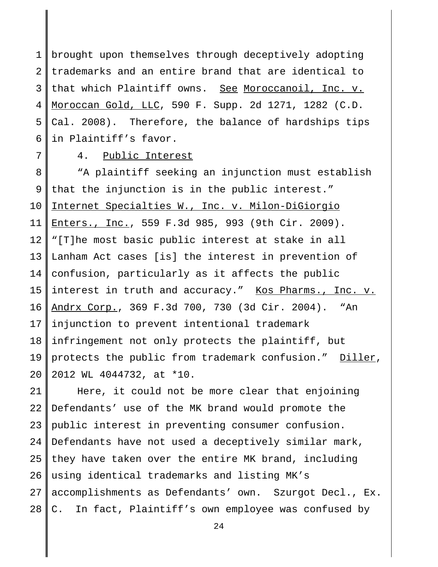1 2 3 4 5 6 brought upon themselves through deceptively adopting trademarks and an entire brand that are identical to that which Plaintiff owns. See Moroccanoil, Inc. v. Moroccan Gold, LLC, 590 F. Supp. 2d 1271, 1282 (C.D. Cal. 2008). Therefore, the balance of hardships tips in Plaintiff's favor.

7

## 4. Public Interest

8 9 10 11 12 13 14 15 16 17 18 19 20 "A plaintiff seeking an injunction must establish that the injunction is in the public interest." Internet Specialties W., Inc. v. Milon-DiGiorgio Enters., Inc., 559 F.3d 985, 993 (9th Cir. 2009). "[T]he most basic public interest at stake in all Lanham Act cases [is] the interest in prevention of confusion, particularly as it affects the public interest in truth and accuracy." Kos Pharms., Inc. v. Andrx Corp., 369 F.3d 700, 730 (3d Cir. 2004). "An injunction to prevent intentional trademark infringement not only protects the plaintiff, but protects the public from trademark confusion." Diller, 2012 WL 4044732, at \*10.

21 22 23 24 25 26 27 28 Here, it could not be more clear that enjoining Defendants' use of the MK brand would promote the public interest in preventing consumer confusion. Defendants have not used a deceptively similar mark, they have taken over the entire MK brand, including using identical trademarks and listing MK's accomplishments as Defendants' own. Szurgot Decl., Ex. C. In fact, Plaintiff's own employee was confused by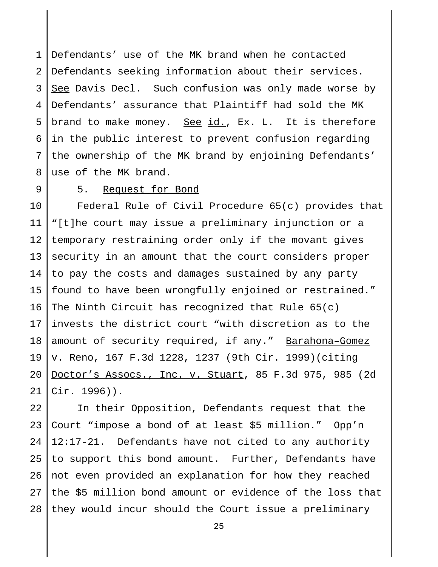1 2 3 4 5 6 7 8 Defendants' use of the MK brand when he contacted Defendants seeking information about their services. See Davis Decl. Such confusion was only made worse by Defendants' assurance that Plaintiff had sold the MK brand to make money. See id., Ex. L. It is therefore in the public interest to prevent confusion regarding the ownership of the MK brand by enjoining Defendants' use of the MK brand.

9

### 5. Request for Bond

10 11 12 13 14 15 16 17 18 19 20 21 Federal Rule of Civil Procedure 65(c) provides that "[t]he court may issue a preliminary injunction or a temporary restraining order only if the movant gives security in an amount that the court considers proper to pay the costs and damages sustained by any party found to have been wrongfully enjoined or restrained." The Ninth Circuit has recognized that Rule 65(c) invests the district court "with discretion as to the amount of security required, if any." Barahona-Gomez v. Reno, 167 F.3d 1228, 1237 (9th Cir. 1999)(citing Doctor's Assocs., Inc. v. Stuart, 85 F.3d 975, 985 (2d Cir. 1996)).

22 23 24 25 26 27 28 In their Opposition, Defendants request that the Court "impose a bond of at least \$5 million." Opp'n 12:17-21. Defendants have not cited to any authority to support this bond amount. Further, Defendants have not even provided an explanation for how they reached the \$5 million bond amount or evidence of the loss that they would incur should the Court issue a preliminary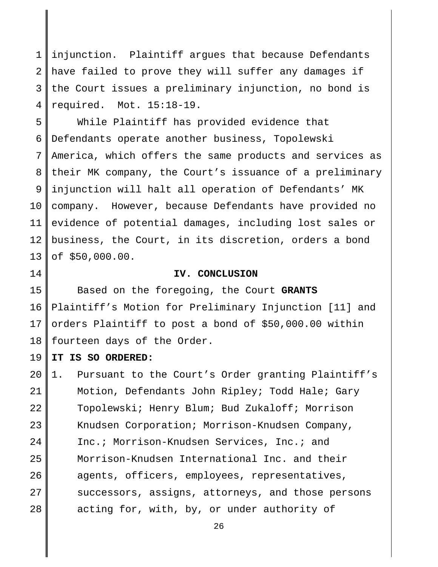1 2 3 4 injunction. Plaintiff argues that because Defendants have failed to prove they will suffer any damages if the Court issues a preliminary injunction, no bond is required. Mot. 15:18-19.

5 6 7 8 9 10 11 12 13 While Plaintiff has provided evidence that Defendants operate another business, Topolewski America, which offers the same products and services as their MK company, the Court's issuance of a preliminary injunction will halt all operation of Defendants' MK company. However, because Defendants have provided no evidence of potential damages, including lost sales or business, the Court, in its discretion, orders a bond of \$50,000.00.

14

#### **IV. CONCLUSION**

15 16 17 18 Based on the foregoing, the Court **GRANTS** Plaintiff's Motion for Preliminary Injunction [11] and orders Plaintiff to post a bond of \$50,000.00 within fourteen days of the Order.

19 **IT IS SO ORDERED:**

20 21 22 23 24 25 26 27 28 1. Pursuant to the Court's Order granting Plaintiff's Motion, Defendants John Ripley; Todd Hale; Gary Topolewski; Henry Blum; Bud Zukaloff; Morrison Knudsen Corporation; Morrison-Knudsen Company, Inc.; Morrison-Knudsen Services, Inc.; and Morrison-Knudsen International Inc. and their agents, officers, employees, representatives, successors, assigns, attorneys, and those persons acting for, with, by, or under authority of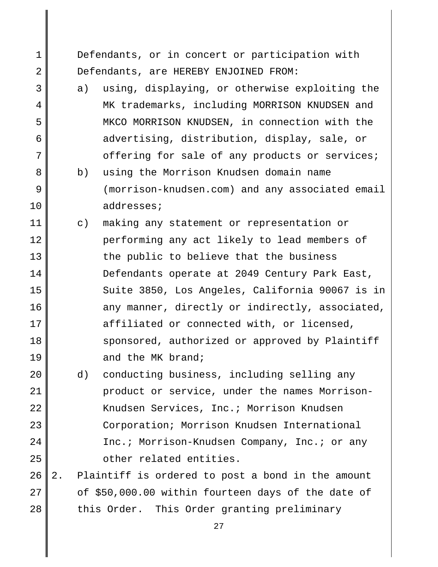Defendants, or in concert or participation with Defendants, are HEREBY ENJOINED FROM:

1

2

3

4

5

6

7

8

9

10

- a) using, displaying, or otherwise exploiting the MK trademarks, including MORRISON KNUDSEN and MKCO MORRISON KNUDSEN, in connection with the advertising, distribution, display, sale, or offering for sale of any products or services;
- b) using the Morrison Knudsen domain name (morrison-knudsen.com) and any associated email addresses;
- 11 12 13 14 15 16 17 18 19 c) making any statement or representation or performing any act likely to lead members of the public to believe that the business Defendants operate at 2049 Century Park East, Suite 3850, Los Angeles, California 90067 is in any manner, directly or indirectly, associated, affiliated or connected with, or licensed, sponsored, authorized or approved by Plaintiff and the MK brand;
- 20 21 22 23 24 25 d) conducting business, including selling any product or service, under the names Morrison-Knudsen Services, Inc.; Morrison Knudsen Corporation; Morrison Knudsen International Inc.; Morrison-Knudsen Company, Inc.; or any other related entities.
- 26 27 28 2. Plaintiff is ordered to post a bond in the amount of \$50,000.00 within fourteen days of the date of this Order. This Order granting preliminary